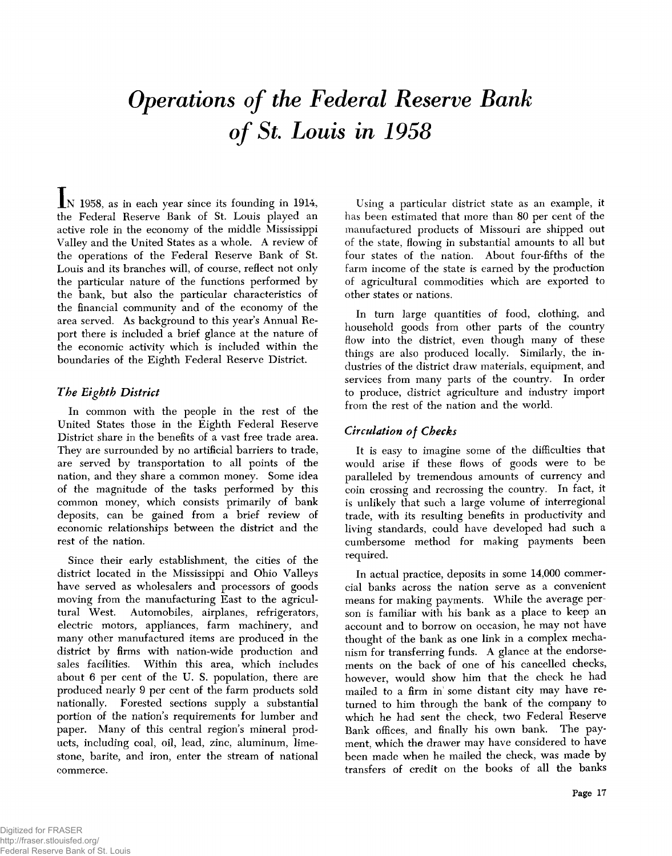# *Operations of the Federal Reserve Bank of St. Louis in 1958*

IN 1958, as in each year since its founding in 1914, the Federal Reserve Bank of St. Louis played an active role in the economy of the middle Mississippi Valley and the United States as a whole. A review of the operations of the Federal Reserve Bank of St. Louis and its branches will, of course, reflect not only the particular nature of the functions performed by the bank, but also the particular characteristics of the financial community and of the economy of the area served. As background to this year's Annual Report there is included a brief glance at the nature of the economic activity which is included within the boundaries of the Eighth Federal Reserve District.

## *The Eighth District*

In common with the people in the rest of the United States those in the Eighth Federal Reserve District share in the benefits of a vast free trade area. They are surrounded by no artificial barriers to trade, are served by transportation to all points of the nation, and they share a common money. Some idea of the magnitude of the tasks performed by this common money, which consists primarily of bank deposits, can be gained from a brief review of economic relationships between the district and the rest of the nation.

Since their early establishment, the cities of the district located in the Mississippi and Ohio Valleys have served as wholesalers and processors of goods moving from the manufacturing East to the agricultural West. Automobiles, airplanes, refrigerators, electric motors, appliances, farm machinery, and many other manufactured items are produced in the district by firms with nation-wide production and sales facilities. Within this area, which includes about 6 per cent of the U. S. population, there are produced nearly 9 per cent of the farm products sold nationally. Forested sections supply a substantial portion of the nation's requirements for lumber and paper. Many of this central region's mineral products, including coal, oil, lead, zinc, aluminum, limestone, barite, and iron, enter the stream of national commerce.

Using a particular district state as an example, it has been estimated that more than 80 per cent of the manufactured products of Missouri are shipped out of the state, flowing in substantial amounts to all but four states of the nation. About four-fifths of the farm income of the state is earned by the production of agricultural commodities which are exported to other states or nations.

In turn large quantities of food, clothing, and household goods from other parts of the country flow into the district, even though many of these things are also produced locally. Similarly, the industries of the district draw materials, equipment, and services from many parts of the country. In order to produce, district agriculture and industry import from the rest of the nation and the world.

## *Circulation of Checks*

It is easy to imagine some of the difficulties that would arise if these flows of goods were to be paralleled by tremendous amounts of currency and coin crossing and recrossing the country. In fact, it is unlikely that such a large volume of interregional trade, with its resulting benefits in productivity and living standards, could have developed had such a cumbersome method for making payments been required.

In actual practice, deposits in some 14,000 commercial banks across the nation serve as a convenient means for making payments. While the average person is familiar with his bank as a place to keep an account and to borrow on occasion, he may not have thought of the bank as one link in a complex mechanism for transferring funds. A glance at the endorsements on the back of one of his cancelled checks, however, would show him that the check he had mailed to a firm in some distant city may have returned to him through the bank of the company to which he had sent the check, two Federal Reserve Bank offices, and finally his own bank. The payment, which the drawer may have considered to have been made when he mailed the check, was made by transfers of credit on the books of all the banks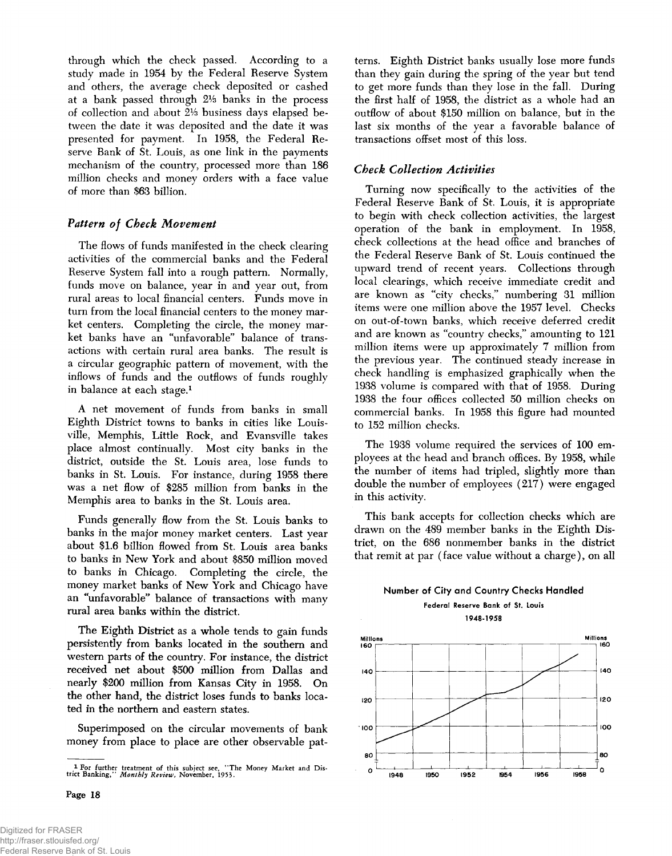through which the check passed. According to a study made in 1954 by the Federal Reserve System and others, the average check deposited or cashed at a bank passed through 2% banks in the process of collection and about 21/3 business days elapsed between the date it was deposited and the date it was presented for payment. In 1958, the Federal Reserve Bank of St. Louis, as one link in the payments mechanism of the country, processed more than 186 million checks and money orders with a face value of more than \$63 billion.

## *Pattern of Check Movement*

The flows of funds manifested in the check clearing activities of the commercial banks and the Federal Reserve System fall into a rough pattern. Normally, funds move on balance, year in and year out, from rural areas to local financial centers. Funds move in turn from the local financial centers to the money market centers. Completing the circle, the money market banks have an "unfavorable" balance of transactions with certain rural area banks. The result is a circular geographic pattern of movement, with the inflows of funds and the outflows of funds roughly in balance at each stage.1

A net movement of funds from banks in small Eighth District towns to banks in cities like Louisville, Memphis, Little Rock, and Evansville takes place almost continually. Most city banks in the district, outside the St. Louis area, lose funds to banks in St. Louis. For instance, during 1958 there was a net flow of \$285 million from banks in the Memphis area to banks in the St. Louis area.

Funds generally flow from the St. Louis banks to banks in the major money market centers. Last year about \$1.6 billion flowed from St. Louis area banks to banks in New York and about \$850 million moved to banks in Chicago. Completing the circle, the money market banks of New York and Chicago have an "unfavorable" balance of transactions with many rural area banks within the district.

The Eighth District as a whole tends to gain funds persistently from banks located in the southern and western parts of the country. For instance, the district received net about \$500 million from Dallas and nearly \$200 million from Kansas City in 1958. On the other hand, the district loses funds to banks located in the northern and eastern states.

Superimposed on the circular movements of bank money from place to place are other observable patterns. Eighth District banks usually lose more funds than they gain during the spring of the year but tend to get more funds than they lose in the fall. During the first half of 1958, the district as a whole had an outflow of about \$150 million on balance, but in the last six months of the year a favorable balance of transactions offset most of this loss.

## *Check Collection Activities*

Turning now specifically to the activities of the Federal Reserve Bank of St. Louis, it is appropriate to begin with check collection activities, the largest operation of the bank in employment. In 1958, check collections at the head office and branches of the Federal Reserve Bank of St. Louis continued the upward trend of recent years. Collections through local clearings, which receive immediate credit and are known as "city checks," numbering 31 million items were one million above the 1957 level. Checks on out-of-town banks, which receive deferred credit and are known as "country checks," amounting to 121 million items were up approximately 7 million from the previous year. The continued steady increase in check handling is emphasized graphically when the 1938 volume is compared with that of 1958. During 1938 the four offices collected 50 million checks on commercial banks. In 1958 this figure had mounted to 152 million checks.

The 1938 volume required the services of 100 employees at the head and branch offices. By 1958, while the number of items had tripled, slightly more than double the number of employees (217) were engaged in this activity.

This bank accepts for collection checks which are drawn on the 489 member banks in the Eighth District, on the 686 nonmember banks in the district that remit at par ( face value without a charge), on all

## **Number of City and Country Checks Handled Federal Reserve Bank of St. Louis**

**1948-1958**



Page 18

<sup>&</sup>lt;sup>1</sup> For further treatment of this subject see, "The Money Market and District Banking," *Monthly Review*, November, 1953.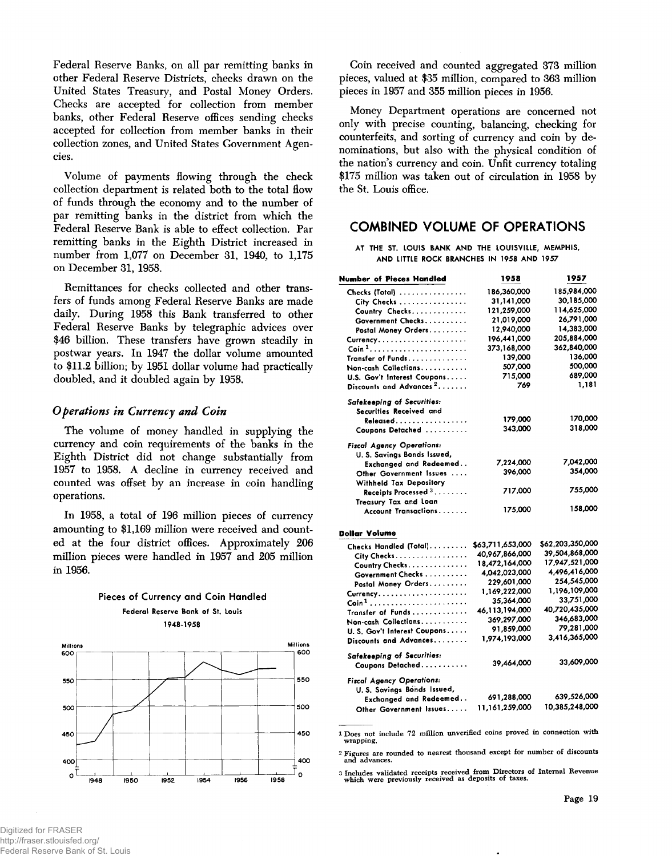Federal Reserve Banks, on all par remitting banks in other Federal Reserve Districts, checks drawn on the United States Treasury, and Postal Money Orders. Checks are accepted for collection from member banks, other Federal Reserve offices sending checks accepted for collection from member banks in their collection zones, and United States Government Agencies.

Volume of payments flowing through the check collection department is related both to the total flow of funds through the economy and to the number of par remitting banks in the district from which the Federal Reserve Bank is able to effect collection. Par remitting banks in the Eighth District increased in number from 1,077 on December 31, 1940, to 1,175 on December 31, 1958.

Remittances for checks collected and other transfers of funds among Federal Reserve Banks are made daily. During 1958 this Bank transferred to other Federal Reserve Banks by telegraphic advices over \$46 billion. These transfers have grown steadily in postwar years. In 1947 the dollar volume amounted to \$11.2 billion; by 1951 dollar volume had practically doubled, and it doubled again by 1958.

#### *Operations in Currency and Coin*

The volume of money handled in supplying the currency and coin requirements of the banks in the Eighth District did not change substantially from 1957 to 1958. A decline in currency received and counted was offset by an increase in coin handling operations.

In 1958, a total of 196 million pieces of currency amounting to \$1,169 million were received and counted at the four district offices. Approximately 206 million pieces were handled in 1957 and 205 million in 1956.



**Pieces of Currency and Coin Handled Federal Reserve Bank of St. Louis 1948-1958**

Coin received and counted aggregated 373 million pieces, valued at \$35 million, compared to 363 million pieces in 1957 and 355 million pieces in 1956.

Money Department operations are concerned not only with precise counting, balancing, checking for counterfeits, and sorting of currency and coin by denominations, but also with the physical condition of the nation's currency and coin. Unfit currency totaling \$175 million was taken out of circulation in 1958 by the St. Louis office.

## **COMBINED VOLUME OF OPERATIONS**

**AT THE ST. LOUIS BANK AND THE LOUISVILLE, MEMPHIS, AND LITTLE ROCK BRANCHES IN 1958 AND 1957**

| <b>Number of Pieces Handled</b>                                   | 1958             | 1957             |
|-------------------------------------------------------------------|------------------|------------------|
| Checks (Total)                                                    | 186,360,000      | 185,984,000      |
| City Checks                                                       | 31,141,000       | 30,185,000       |
| Country Checks                                                    | 121,259,000      | 114,625,000      |
| Government Checks                                                 | 21,019,000       | 26,791,000       |
| Postal Money Orders                                               | 12,940,000       | 14,383,000       |
|                                                                   | 196,441,000      | 205,884,000      |
| $\operatorname{Coin}^1,\ldots,\ldots,\ldots,\ldots,\ldots,\ldots$ | 373,168,000      | 362.840,000      |
| Transfer of Funds                                                 | 139,000          | 136,000          |
| Non-cash Collections.                                             | 507,000          | 500,000          |
| U.S. Gov't Interest Coupons                                       | 715,000          | 689,000          |
| Discounts and Advances <sup>2</sup>                               | 769              | 1,181            |
| Safekeeping of Securities:                                        |                  |                  |
| Securities Received and                                           |                  |                  |
| Released.                                                         | 179,000          | 170,000          |
| Coupons Detached                                                  | 343,000          | 318,000          |
| <b>Fiscal Agency Operations:</b>                                  |                  |                  |
| U. S. Savings Bonds Issued,                                       | 7,224,000        | 7,042,000        |
| Exchanged and Redeemed                                            | 396,000          | 354,000          |
| Other Government Issues<br>Withheld Tax Depository                |                  |                  |
| Receipts Processed $3, 3, 3, 4, 6, 6$                             | 717,000          | 755,000          |
| Treasury Tax and Loan                                             |                  |                  |
| Account Transactions                                              | 175,000          | 158,000          |
| Dollar Volume                                                     |                  |                  |
| Checks Handled (Total).                                           | \$63,711,653,000 | \$62,203,350,000 |
| City Checks.                                                      | 40,967,866,000   | 39,504,868,000   |
| Country Checks                                                    | 18,472,164,000   | 17.947,521,000   |
| Government Checks                                                 | 4,042,023,000    | 4,496,416,000    |
| Postal Money Orders                                               | 229,601,000      | 254,545,000      |
|                                                                   | 1,169,222,000    | 1,196,109,000    |
|                                                                   | 35,364,000       | 33,751,000       |
| Transfer of Funds                                                 | 46,113,194,000   | 40,720,435,000   |
| Non-cash Collections                                              | 369,297,000      | 346,683,000      |
| U.S. Gov't Interest Coupons                                       | 91,859,000       | 79,281,000       |
| Discounts and Advances.                                           | 1,974,193,000    | 3,416,365,000    |
| Safekeeping of Securities:                                        |                  | 33,609,000       |
| Coupons Detached                                                  | 39,464,000       |                  |
| <b>Fiscal Agency Operations:</b><br>U. S. Savings Bonds Issued,   |                  |                  |
| Exchanged and Redeemed                                            | 691,288,000      | 639,526,000      |
|                                                                   | 11,161,259,000   | 10,385,248,000   |
| Other Government Issues                                           |                  |                  |

1 Does not include 72 million unverified coins proved in connection with **w rap pin g.**

2 Figures are rounded to nearest thousand except for number of discounts<br>and advances.

3 Includes validated receipts received from Directors of Internal Revenue<br>which were previously received as deposits of taxes.

Digitized for FRASER http://fraser.stlouisfed.org/ Federal Reserve Bank of St. Louis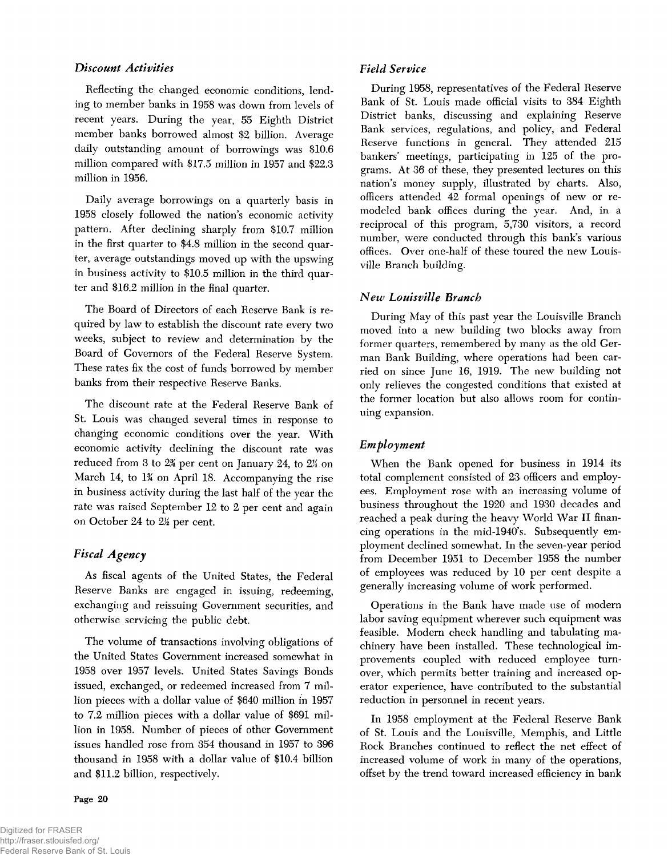## *Discount Activities*

Reflecting the changed economic conditions, lending to member banks in 1958 was down from levels of recent years. During the year, 55 Eighth District member banks borrowed almost \$2 billion. Average daily outstanding amount of borrowings was \$10.6 million compared with \$17.5 million in 1957 and \$22.3 million in 1956.

Daily average borrowings on a quarterly basis in 1958 closely followed the nation's economic activity pattern. After declining sharply from \$10.7 million in the first quarter to \$4.8 million in the second quarter, average outstandings moved up with the upswing in business activity to \$10.5 million in the third quarter and \$16.2 million in the final quarter.

The Board of Directors of each Reserve Bank is required by law to establish the discount rate every two weeks, subject to review and determination by the Board of Governors of the Federal Reserve System. These rates fix the cost of funds borrowed by member banks from their respective Reserve Banks.

The discount rate at the Federal Reserve Bank of St. Louis was changed several times in response to changing economic conditions over the year. With economic activity declining the discount rate was reduced from 3 to  $24$  per cent on January 24, to  $24$  on March 14, to 1*%* on April 18. Accompanying the rise in business activity during the last half of the year the rate was raised September 12 to 2 per cent and again on October 24 to 2& per cent.

## *Fiscal Agency*

As fiscal agents of the United States, the Federal Reserve Banks are engaged in issuing, redeeming, exchanging and reissuing Government securities, and otherwise servicing the public debt.

The volume of transactions involving obligations of the United States Government increased somewhat in 1958 over 1957 levels. United States Savings Bonds issued, exchanged, or redeemed increased from 7 million pieces with a dollar value of \$640 million in 1957 to 7.2 million pieces with a dollar value of \$691 million in 1958. Number of pieces of other Government issues handled rose from 354 thousand in 1957 to 396 thousand in 1958 with a dollar value of \$10.4 billion and \$11.2 billion, respectively.

Page 20

## *Field Service*

During 1958, representatives of the Federal Reserve Bank of St. Louis made official visits to 384 Eighth District banks, discussing and explaining Reserve Bank services, regulations, and policy, and Federal Reserve functions in general. They attended 215 bankers' meetings, participating in 125 of the programs. At 36 of these, they presented lectures on this nation's money supply, illustrated by charts. Also, officers attended 42 formal openings of new or remodeled bank offices during the year. And, in a reciprocal of this program, 5,730 visitors, a record number, were conducted through this bank's various offices. Over one-half of these toured the new Louisville Branch building.

## *New Louisville Branch*

During May of this past year the Louisville Branch moved into a new building two blocks away from former quarters, remembered by many as the old German Bank Building, where operations had been carried on since June 16, 1919. The new building not only relieves the congested conditions that existed at the former location but also allows room for continuing expansion.

## *Employment*

When the Bank opened for business in 1914 its total complement consisted of 23 officers and employees. Employment rose with an increasing volume of business throughout the 1920 and 1930 decades and reached a peak during the heavy World War II financing operations in the mid-1940's. Subsequently employment declined somewhat. In the seven-year period from December 1951 to December 1958 the number of employees was reduced by 10 per cent despite a generally increasing volume of work performed.

Operations in the Bank have made use of modern labor saving equipment wherever such equipment was feasible. Modern check handling and tabulating machinery have been installed. These technological improvements coupled with reduced employee turnover, which permits better training and increased operator experience, have contributed to the substantial reduction in personnel in recent years.

In 1958 employment at the Federal Reserve Bank of St. Louis and the Louisville, Memphis, and Little Rock Branches continued to reflect the net effect of increased volume of work in many of the operations, offset by the trend toward increased efficiency in bank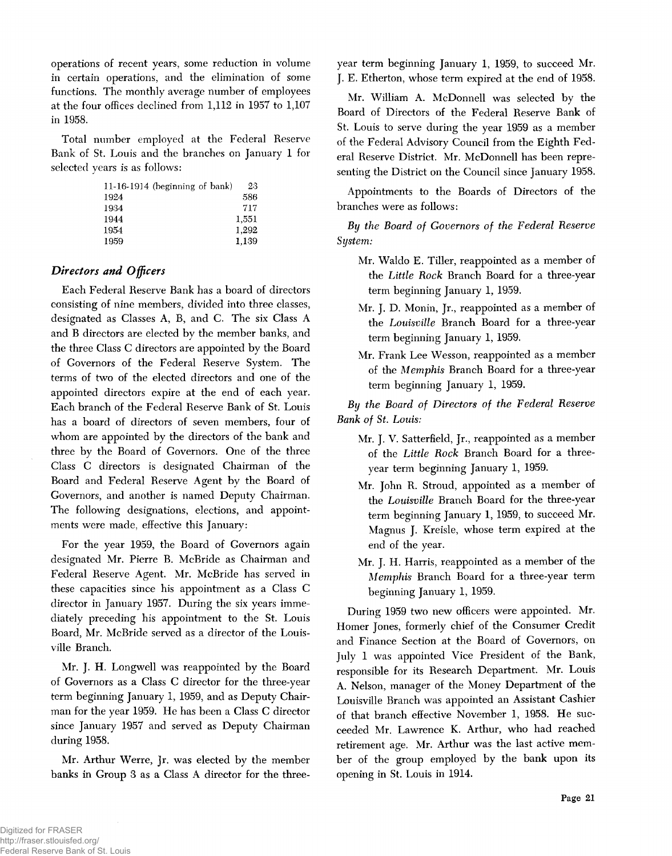operations of recent years, some reduction in volume in certain operations, and the elimination of some functions. The monthly average number of employees at the four offices declined from 1,112 in 1957 to 1,107 in 1958.

Total number employed at the Federal Reserve Bank of St. Louis and the branches on January 1 for selected years is as follows:

| $11-16-1914$ (beginning of bank) | 23    |
|----------------------------------|-------|
| 1924                             | 586   |
| 1934                             | 717   |
| 1944                             | 1,551 |
| 1954                             | 1.292 |
| 1959                             | 1.139 |

## *Directors and Officers*

Each Federal Reserve Bank has a board of directors consisting of nine members, divided into three classes, designated as Classes A, B, and C. The six Class A and B directors are elected by the member banks, and the three Class C directors are appointed by the Board of Governors of the Federal Reserve System. The terms of two of the elected directors and one of the appointed directors expire at the end of each year. Each branch of the Federal Reserve Bank of St. Louis has a board of directors of seven members, four of whom are appointed by the directors of the bank and three by the Board of Governors. One of the three Class C directors is designated Chairman of the Board and Federal Reserve Agent by the Board of Governors, and another is named Deputy Chairman. The following designations, elections, and appointments were made, effective this January:

For the year 1959, the Board of Governors again designated Mr. Pierre B. McBride as Chairman and Federal Reserve Agent. Mr. McBride has served in these capacities since his appointment as a Class C director in January 1957. During the six years immediately preceding his appointment to the St. Louis Board, Mr. McBride served as a director of the Louisville Branch.

Mr. J. H. Longwell was reappointed by the Board of Governors as a Class C director for the three-year term beginning January 1, 1959, and as Deputy Chairman for the year 1959. He has been a Class C director since January 1957 and served as Deputy Chairman during 1958.

Mr. Arthur Werre, Jr. was elected by the member banks in Group 3 as a Class A director for the threeyear term beginning January 1, 1959, to succeed Mr. J. E. Etherton, whose term expired at the end of 1958.

Mr. William A. McDonnell was selected by the Board of Directors of the Federal Reserve Bank of St. Louis to serve during the year 1959 as a member of the Federal Advisory Council from the Eighth Federal Reserve District. Mr. McDonnell has been representing the District on the Council since January 1958.

Appointments to the Boards of Directors of the branches were as follows:

By the Board of Governors of the Federal Reserve *System:*

- Mr. Waldo E. Tiller, reappointed as a member of the Little Rock Branch Board for a three-year term beginning January 1, 1959.
- Mr. J. D. Monin, Jr., reappointed as a member of the *Louisville* Branch Board for a three-year term beginning January 1, 1959.
- Mr. Frank Lee Wesson, reappointed as a member of the *M em phis* Branch Board for a three-year term beginning January 1, 1959.

By the Board of Directors of the Federal Reserve *Bank of St. Louis:* 

- Mr. J. V. Satterfield, Jr., reappointed as a member of the *Little Rock* Branch Board for a threeyear term beginning January 1, 1959.
- Mr. John R. Stroud, appointed as a member of the *Louisville* Branch Board for the three-year term beginning January 1, 1959, to succeed Mr. Magnus J. Kreisle, whose term expired at the end of the year.
- Mr. J. H. Harris, reappointed as a member of the *M em phis* Branch Board for a three-year term beginning January 1, 1959.

During 1959 two new officers were appointed. Mr. Homer Jones, formerly chief of the Consumer Credit and Finance Section at the Board of Governors, on July 1 was appointed Vice President of the Bank, responsible for its Research Department. Mr. Louis A. Nelson, manager of the Money Department of the Louisville Branch was appointed an Assistant Cashier of that branch effective November 1, 1958. He succeeded Mr. Lawrence K. Arthur, who had reached retirement age. Mr. Arthur was the last active member of the group employed by the bank upon its opening in St. Louis in 1914.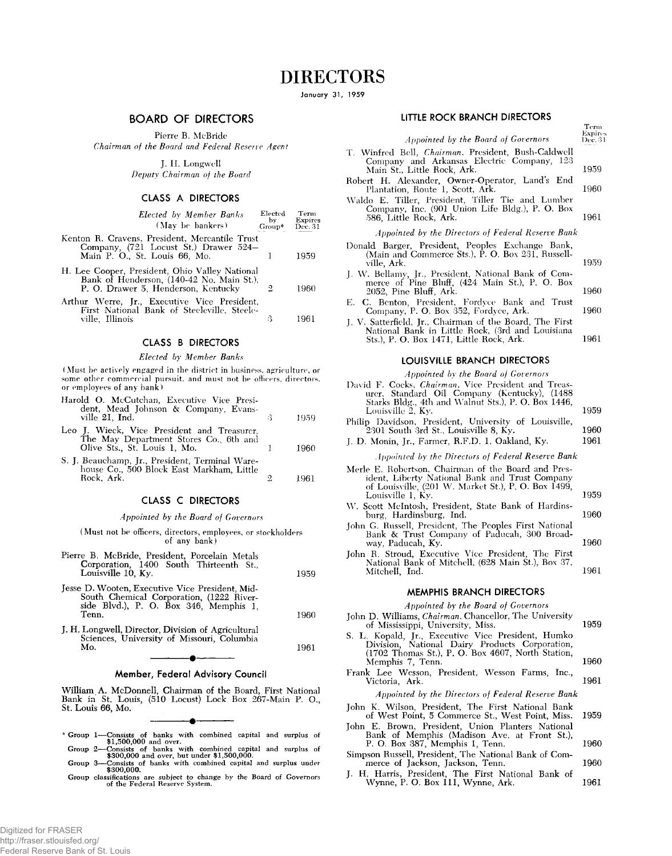**January 31, 1959**

#### **BOARD OF DIRECTORS**

Pierre B. McBride

*Chairman of the Board and Federal Reserve Agent*

J. II. Longwell *Deputy Chairman of the Board*

### **CLASS A DIRECTORS**

| <b>Elected by Member Banks</b><br>(May be bankers)                                                                                 | Elected<br>by -<br>Group* Dec. 31 | Term<br><b>Expires</b> |
|------------------------------------------------------------------------------------------------------------------------------------|-----------------------------------|------------------------|
| Kenton R. Cravens, President, Mercantile Trust<br>Company, (721 Locust St.) Drawer 524-<br>Main P. O., St. Louis 66, Mo.           |                                   | 1959                   |
| H. Lee Cooper, President, Ohio Valley National<br>Bank of Henderson, (140-42 No. Main St.),<br>P. O. Drawer 5, Henderson, Kentucky | 2                                 | 1960                   |
| Arthur Werre, Jr., Executive Vice President,<br>First National Bank of Steeleville, Steele-<br>ville. Illinois                     | З                                 |                        |

#### **CLASS B DIRECTORS**

#### *Elected by Member Banks*

(Must be actively engaged in the district in business, agriculture, or some other commercial pursuit, and must not be officers, directors, or employees of any bank)

| Harold O. McCutchan, Executive Vice Presi-<br>dent, Mead Johnson & Company, Evans-<br>ville 21, Ind.                  | 1959 |
|-----------------------------------------------------------------------------------------------------------------------|------|
| Leo J. Wieck, Vice President and Treasurer,<br>The May Department Stores Co., 6th and<br>Olive Sts., St. Louis 1, Mo. | 1960 |
| S. J. Beauchamp, Jr., President, Terminal Ware-<br>house Co., 500 Block East Markham, Little<br>Rock. Ark.            |      |

#### **CLASS C DIRECTORS**

#### *Appointed by the Board of Governors*

(Must not be officers, directors, employees, or stockholders of any bank)

| Pierre B. McBride, President, Porcelain Metals |  |      |  |
|------------------------------------------------|--|------|--|
| Corporation, 1400 South Thirteenth St.         |  |      |  |
| Louisville 10, Ky.                             |  | 1959 |  |

Jesse D. Wooten, Executive Vice President, Mid-South Chemical Corporation, (1222 Riverside Blvd.), P. O. Box 346, Memphis 1, Tenn. J. H. Longwell, Director, Division of Agricultural 1960

Sciences, University of Missouri, Columbia Mo. 1961  $\overline{\phantom{a}}$ 

#### **Member, Federal Advisory Council**

William A. McDonnell, Chairman of the Board, First National Bank in St. Louis, (510 Locust) Lock Box 267-Main P. O., St. Louis 66, Mo.

- **r Group 1— Consists of banks with combined capital and surplus of \$1,500,000 and over. Group 2— Consists of banks with combined capital and surplus of \$300,000 and over, but under \$1,500,000.**
- **Group 3— Consists of banks with combined capital and surplus under \$300,000.**
- **Group classifications are subject to change by the Board of Governors of the Federal Reserve System.**

#### **LITTLE ROCK BRANCH DIRECTORS**

**Term**

*Appointed by the Board of Governors* T. Winfred Bell, *Chairman*. President, Bush-Caldwell Company and Arkansas Electric Company, 123 Main St., Little Rock, Ark. Robert H. Alexander, Owner-Operator, Land's End Plantation, Route 1, Scott, Ark. Waldo E. Tiller, President, Tiller Tie and Lumber Company, Inc. (901 Union Life Bldg.), P. O. Box 586, Little Rock, Ark. *Appointed by the Directors of Federal Reserve Bank* Donald Barger, President, Peoples Exchange Bank, (Main and Commerce Sts.), P. O. Box 231, Russellville, Ark. J. W. Bellamy, Jr., President, National Bank of Commerce of Pine Bluff, (424 Main St.), P. O. Box 2052, Pine Bluff, Ark. **Expires Dec. 31** 1959 1960 1961 1959 1960

- E. C. Benton, President, Fordyee Bank and Trust Company, P. O. Box 352, Fordvce, Ark. 1960
- J. V. Satterfield, Jr., Chairman of the Board, The First National Bank in Little Rock, (3rd and Louisiana Sts.), P. O. Box 1471, Little Rock, Ark. 1961

#### **LOUISVILLE BRANCH DIRECTORS**

*Appointed by the Board of Governors*

David F. Cocks, *Chairman.* Vice President and Treasurer, Standard Oil Company (Kentucky), (1488 Starks Bldg., 4th and Walnut Sts.), P. O. Box 1446, Louisville 2, Ky. Philip Davidson, President, University of Louisville, 2301 South 3rd St., Louisville 8, Ky. J. D. Monin, Jr., Farmer, R.F.D. 1, Oakland, Ky. *Appointed by the Directors of Federal Reserve Bank* Merle E. Robertson, Chairman of the Board and President, Liberty National Bank and Trust Company of Louisville, (201 W. Market St.), P. O. Box 1499, Louisville 1, Ky. W. Scott McIntosh, President, State Bank of Hardinsburg, Hardinsburg, Ind. John G. Russell, President, The Peoples First National Bank & Trust Company of Paducah, 300 Broadway, Paducah, Ky. John R. Stroud, Executive Vice President, The First National Bank of Mitchell, (628 Main St.), Box 37, Mitchell, Ind. 1959 1960 1961 1959 1960 1960 1961

#### **MEMPHIS BRANCH DIRECTORS**

#### *Appointed by the Board of Governors*

- John D. Williams, *Chairman*. Chancellor, The University of Mississippi, University, Miss. 1959
- S. L. Kopald, Jr., Executive Vice President, Humko Division, National Dairy Products Corporation, (1702 Thomas St.), P. O. Box 4607, North Station, Memphis 7, Tenn. 1960
- Frank Lee Wesson, President, Wesson Farms, Inc., Victoria, Ark. 1961

*Appointed by the Directors of Federal Reserve Bank*

- John K. Wilson, President, The First National Bank of West Point, 5 Commerce St., West Point, Miss. 1959
- John E. Brown, President, Union Planters National Bank of Memphis (Madison Ave. at Front St.), P. O. Box 387, Memphis 1, Tenn. 1960
- Simpson Russell, President, The National Bank of Commerce of Jackson, Jackson, Tenn. 1960
- H. Harris, President, The First National Bank of Wynne, P. O. Box 111, Wynne, Ark. 1961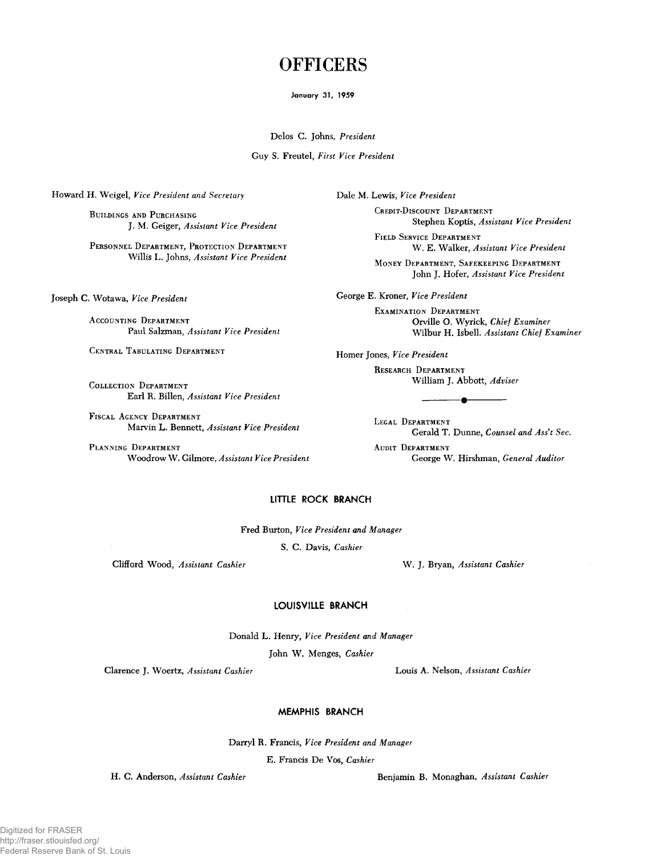## **OFFICERS**

#### **January 31, 1959**

**Delos C. Johns,** *President*

**Guy S. Freutel,** *First Vice President*

**Howard H. Weigel,** *Vice President and Secretary* **Dale M. Lewis,** *Vice President*

**BUILDINGS AND PURCHASING** 

**Willis L. Johns,** *Assistant Vice President* \_ \_

**Joseph C. Wotawa,** *Vice President*

**ACCOUNTING DEPARTMENT Paul Salzman,** *Assistant Vice President*

**CENTRAL TABULATING DEPARTMENT** 

**COLLECTION DEPARTMENT Earl R. Billen,** *Assistant Vice President*

FISCAL AGENCY DEPARTMENT **Marvin L. Bennett,** *Assistant Vice President*

PLANNING DEPARTMENT **Woodrow W . Gilmore,** *Assistant Vice President*

**C r e d it -D i s c o u n t D e p a r t m e n t J. M. Geiger,** *Assistant Vice President* **Stephen Koptis,** *Assistant Vice President* 

**F ie l d S e r v ic e D e p a r t m e n t** PERSONNEL DEPARTMENT, PROTECTION DEPARTMENT
W. E. Walker, *Assistant Vice President* 

> **MONEY DEPARTMENT, SAFEKEEPING DEPARTMENT John J. Hofer,** *Assistant Vice President*

**George E. Kroner,** *Vice President*

**EXAMINATION DEPARTMENT Orville O. Wyrick,** *C hief Examiner* **Wilbur H. Isbell.** *Assistant Chief Examiner*

**Homer Jones,** *Vice President*

**RESEARCH DEPARTMENT William J. Abbott,** *Adviser*

LEGAL DEPARTMENT Gerald T. Dunne, Counsel and Ass't Sec. **AUDIT DEPARTMENT** 

---------- •-----------

**George W. Hirshman,** *General Auditor*

## **LITTLE ROCK BRANCH**

**Fred Burton,** *Vice President and Manager*

**S. C. Davis,** *Cashier*

**Clifford Wood,** *Assistant Cashier* **W . J. Bryan,** *Assistant Cashier*

#### **LOUISVILLE BRANCH**

**Donald L. Henry,** *Vice President and Manager*

John W. Menges, Cashier

**Clarence J. Woertz,** *Assistant Cashier* **Louis A. Nelson,** *Assistant Cashier*

#### **MEMPHIS BRANCH**

**Darryl R. Francis,** *Vice President and Manager*

**E. Francis De Vos,** *Cashier*

**H. C. Anderson,** *Assistant Cashier* **Benjamin B. Monaghan,** *Assistant Cashier*